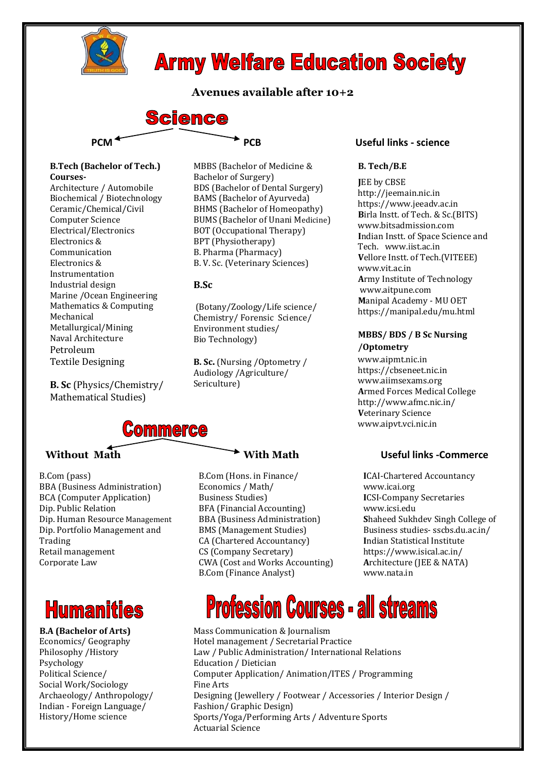

## **Army Welfare Education Society**

### **Avenues available after 10+2**



### **B.Tech (Bachelor of Tech.) Courses-**

Architecture / Automobile Biochemical / Biotechnology Ceramic/Chemical/Civil Computer Science Electrical/Electronics Electronics & Communication Electronics & Instrumentation Industrial design Marine /Ocean Engineering Mathematics & Computing Mechanical Metallurgical/Mining Naval Architecture Petroleum Textile Designing

 **B. Sc** (Physics/Chemistry/ Mathematical Studies)

MBBS (Bachelor of Medicine & Bachelor of Surgery) BDS (Bachelor of Dental Surgery) BAMS (Bachelor of Ayurveda) BHMS (Bachelor of Homeopathy) BUMS (Bachelor of Unani Medicine) BOT (Occupational Therapy) BPT (Physiotherapy) B. Pharma (Pharmacy) B. V. Sc. (Veterinary Sciences)

### **B.Sc**

(Botany/Zoology/Life science/ Chemistry/ Forensic Science/ Environment studies/ Bio Technology)

**B. Sc.** (Nursing /Optometry / Audiology /Agriculture/ Sericulture)

## **Commerce**

B.Com (pass) BBA (Business Administration) BCA (Computer Application) Dip. Public Relation Dip. Human Resource Management Dip. Portfolio Management and Trading Retail management Corporate Law

## **Humanities**

### **B.A (Bachelor of Arts)** Economics/ Geography Philosophy /History Psychology Political Science/ Social Work/Sociology Archaeology/ Anthropology/ Indian - Foreign Language/ History/Home science

B.Com (Hons. in Finance/ Economics / Math/ Business Studies) BFA (Financial Accounting) BBA (Business Administration) BMS (Management Studies) CA (Chartered Accountancy) CS (Company Secretary) CWA (Cost and Works Accounting) B.Com (Finance Analyst)

### **B. Tech/B.E**

**J**EE by CBSE http://jeemain.nic.in https://www.jeeadv.ac.in **B**irla Instt. of Tech. & Sc.(BITS) www.bitsadmission.com **I**ndian Instt. of Space Science and Tech. www.iist.ac.in **V**ellore Instt. of Tech.(VITEEE) www.vit.ac.in **A**rmy Institute of Technology www.aitpune.com **M**anipal Academy - MU OET https://manipal.edu/mu.html

### **MBBS/ BDS / B Sc Nursing /Optometry**

www.aipmt.nic.in https://cbseneet.nic.in www.aiimsexams.org **A**rmed Forces Medical College http://www.afmc.nic.in/ **V**eterinary Science www.aipvt.vci.nic.in

### Without Math **With** With Math **With Math** Useful links -Commerce

**I**CAI-Chartered Accountancy www.icai.org **I**CSI-Company Secretaries www.icsi.edu **S**haheed Sukhdev Singh College of Business studies- sscbs.du.ac.in/ **I**ndian Statistical Institute https://www.isical.ac.in/ **A**rchitecture (JEE & NATA) www.nata.in

# **Profession Courses - all streams**

Mass Communication & Journalism Hotel management / Secretarial Practice Law / Public Administration/ International Relations Education / Dietician Computer Application/ Animation/ITES / Programming Fine Arts Designing (Jewellery / Footwear / Accessories / Interior Design / Fashion/ Graphic Design) Sports/Yoga/Performing Arts / Adventure Sports Actuarial Science